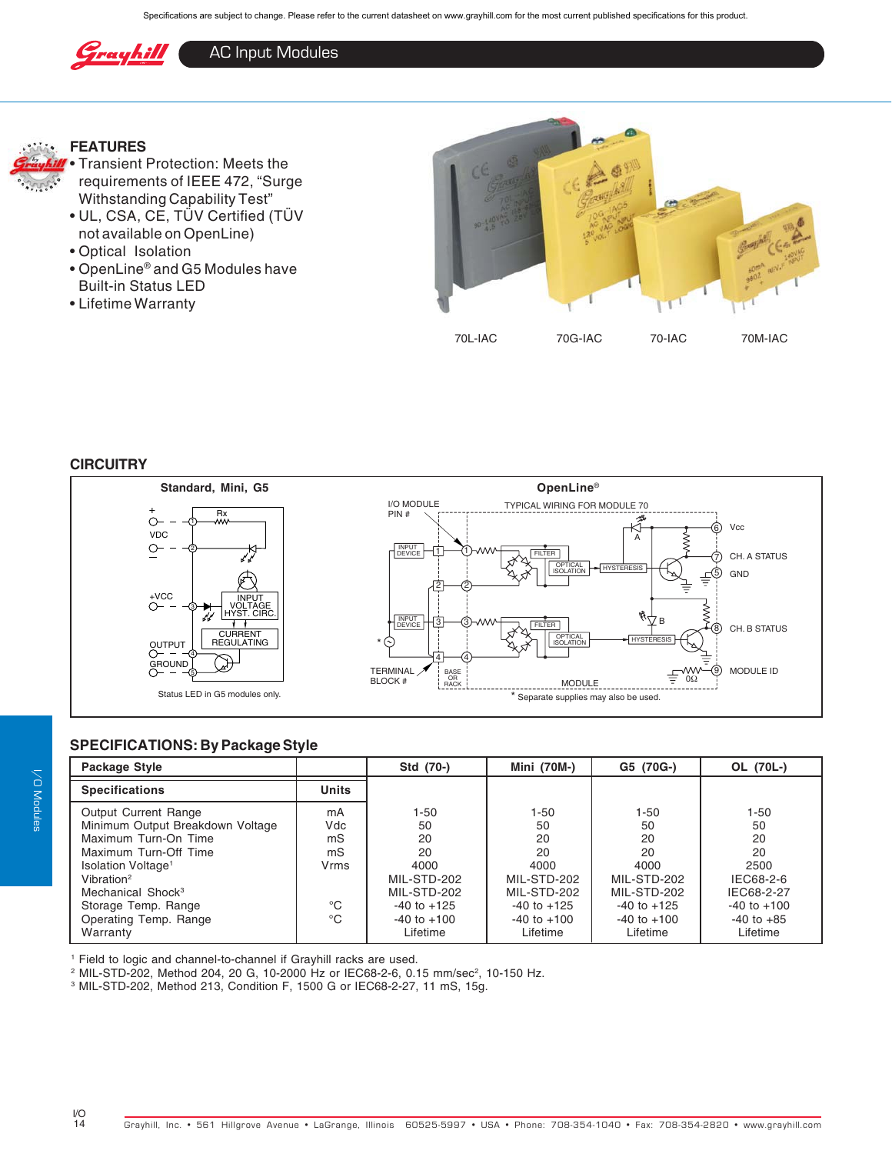

## AC Input Modules



## **FEATURES**



- UL, CSA, CE, TÜV Certified (TÜV not available on OpenLine)
- Optical Isolation
- OpenLine® and G5 Modules have Built-in Status LED
- Lifetime Warranty



#### **CIRCUITRY**



## **SPECIFICATIONS: By Package Style**

| Package Style                                                                                                                                                                                                                                                 |                                                                          | Std (70-)                                                                                          | Mini (70M-)                                                                                            | G5 (70G-)                                                                                          | OL (70L-)                                                                                          |
|---------------------------------------------------------------------------------------------------------------------------------------------------------------------------------------------------------------------------------------------------------------|--------------------------------------------------------------------------|----------------------------------------------------------------------------------------------------|--------------------------------------------------------------------------------------------------------|----------------------------------------------------------------------------------------------------|----------------------------------------------------------------------------------------------------|
| <b>Specifications</b>                                                                                                                                                                                                                                         | <b>Units</b>                                                             |                                                                                                    |                                                                                                        |                                                                                                    |                                                                                                    |
| <b>Output Current Range</b><br>Minimum Output Breakdown Voltage<br>Maximum Turn-On Time<br>Maximum Turn-Off Time<br>Isolation Voltage <sup>1</sup><br>Vibration <sup>2</sup><br>Mechanical Shock <sup>3</sup><br>Storage Temp. Range<br>Operating Temp. Range | mA<br>Vdc<br>mS<br>m <sub>S</sub><br>Vrms<br>$^{\circ}$ C<br>$^{\circ}C$ | 1-50<br>50<br>20<br>20<br>4000<br>MIL-STD-202<br>MIL-STD-202<br>$-40$ to $+125$<br>$-40$ to $+100$ | $1 - 50$<br>50<br>20<br>20<br>4000<br>MIL-STD-202<br>MIL-STD-202<br>$-40$ to $+125$<br>$-40$ to $+100$ | 1-50<br>50<br>20<br>20<br>4000<br>MIL-STD-202<br>MIL-STD-202<br>$-40$ to $+125$<br>$-40$ to $+100$ | $1 - 50$<br>50<br>20<br>20<br>2500<br>IEC68-2-6<br>IEC68-2-27<br>$-40$ to $+100$<br>$-40$ to $+85$ |
| Warranty                                                                                                                                                                                                                                                      |                                                                          | Lifetime                                                                                           | Lifetime                                                                                               | Lifetime                                                                                           | Lifetime                                                                                           |

1 Field to logic and channel-to-channel if Grayhill racks are used.

 $^{\rm 2}$  MIL-STD-202, Method 204, 20 G, 10-2000 Hz or IEC68-2-6, 0.15 mm/sec $^{\rm 2}$ , 10-150 Hz.

3 MIL-STD-202, Method 213, Condition F, 1500 G or IEC68-2-27, 11 mS, 15g.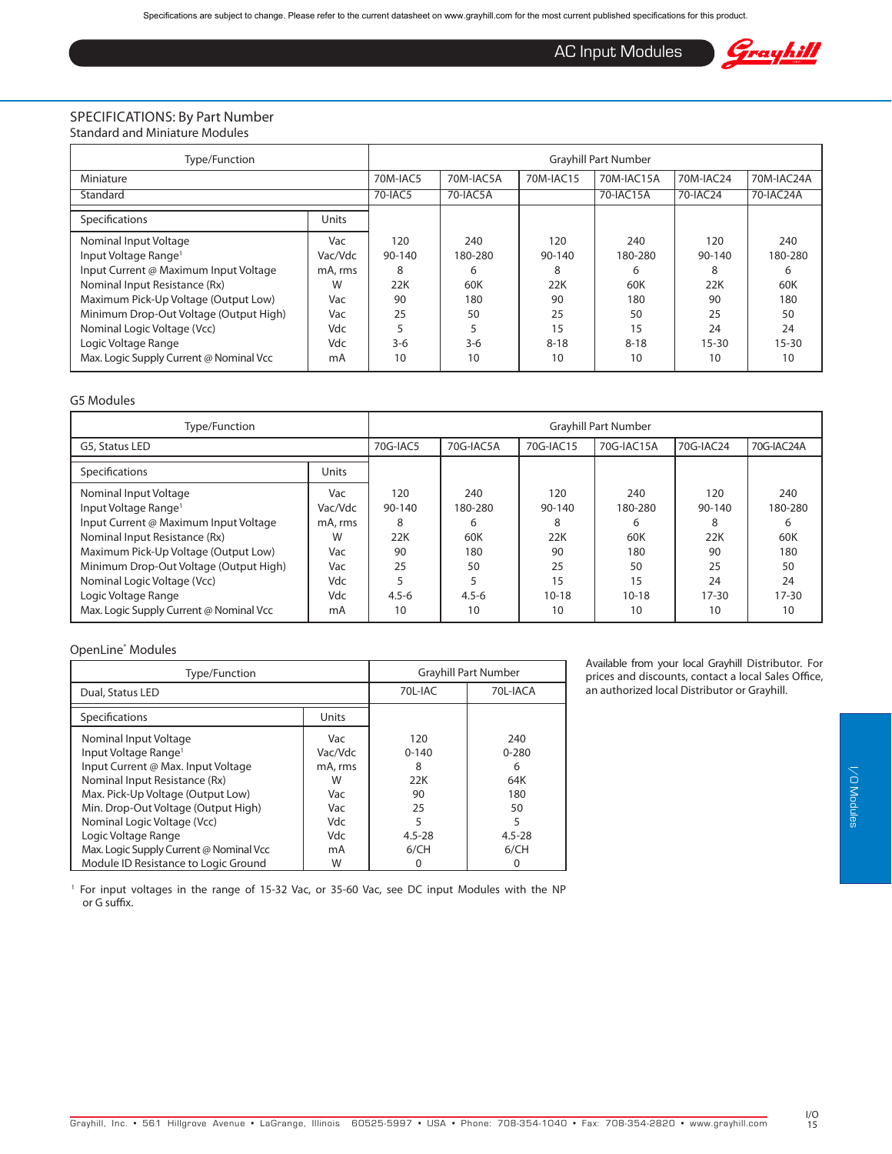AC Input Modules



#### SPECIFICATIONS: By Part Number Standard and Miniature Modules

| Type/Function                                                                                                                       | <b>Gravhill Part Number</b>    |                           |                            |                               |                            |                               |                            |
|-------------------------------------------------------------------------------------------------------------------------------------|--------------------------------|---------------------------|----------------------------|-------------------------------|----------------------------|-------------------------------|----------------------------|
| Miniature                                                                                                                           |                                | 70M-IAC5                  | 70M-IAC5A                  | 70M-IAC15                     | 70M-IAC15A                 | 70M-IAC24                     | 70M-IAC24A                 |
| Standard                                                                                                                            |                                | 70-IAC5                   | 70-IAC5A                   |                               | 70-IAC15A                  | 70-IAC24                      | 70-IAC24A                  |
| Specifications                                                                                                                      | Units                          |                           |                            |                               |                            |                               |                            |
| Nominal Input Voltage<br>Input Voltage Range <sup>1</sup><br>Input Current @ Maximum Input Voltage<br>Nominal Input Resistance (Rx) | Vac<br>Vac/Vdc<br>mA, rms<br>W | 120<br>90-140<br>8<br>22K | 240<br>180-280<br>6<br>60K | 120<br>$90 - 140$<br>8<br>22K | 240<br>180-280<br>6<br>60K | 120<br>$90 - 140$<br>8<br>22K | 240<br>180-280<br>6<br>60K |
| Maximum Pick-Up Voltage (Output Low)<br>Minimum Drop-Out Voltage (Output High)                                                      | Vac<br>Vac                     | 90<br>25                  | 180<br>50                  | 90<br>25                      | 180<br>50                  | 90<br>25                      | 180<br>50                  |
| Nominal Logic Voltage (Vcc)<br>Logic Voltage Range<br>Max. Logic Supply Current @ Nominal Vcc                                       | Vdc<br>Vdc<br>mA               | $3-6$<br>10               | $3-6$<br>10                | 15<br>$8 - 18$<br>10          | 15<br>$8 - 18$<br>10       | 24<br>$15 - 30$<br>10         | 24<br>$15 - 30$<br>10      |

#### G5 Modules

| Type/Function                                                                                                                                                                                                                                                                                                          | <b>Gravhill Part Number</b>                                      |                                                          |                                                            |                                                                |                                                                  |                                                                    |                                                                  |
|------------------------------------------------------------------------------------------------------------------------------------------------------------------------------------------------------------------------------------------------------------------------------------------------------------------------|------------------------------------------------------------------|----------------------------------------------------------|------------------------------------------------------------|----------------------------------------------------------------|------------------------------------------------------------------|--------------------------------------------------------------------|------------------------------------------------------------------|
| G5, Status LED                                                                                                                                                                                                                                                                                                         |                                                                  | 70G-IAC5                                                 | 70G-IAC5A                                                  | 70G-IAC15                                                      | 70G-IAC15A                                                       | 70G-IAC24                                                          | 70G-IAC24A                                                       |
| Specifications                                                                                                                                                                                                                                                                                                         | <b>Units</b>                                                     |                                                          |                                                            |                                                                |                                                                  |                                                                    |                                                                  |
| Nominal Input Voltage<br>Input Voltage Range <sup>1</sup><br>Input Current @ Maximum Input Voltage<br>Nominal Input Resistance (Rx)<br>Maximum Pick-Up Voltage (Output Low)<br>Minimum Drop-Out Voltage (Output High)<br>Nominal Logic Voltage (Vcc)<br>Logic Voltage Range<br>Max. Logic Supply Current @ Nominal Vcc | Vac<br>Vac/Vdc<br>mA, rms<br>W<br>Vac<br>Vac<br>Vdc<br>Vdc<br>mA | 120<br>90-140<br>8<br>22K<br>90<br>25<br>$4.5 - 6$<br>10 | 240<br>180-280<br>6<br>60K<br>180<br>50<br>$4.5 - 6$<br>10 | 120<br>90-140<br>8<br>22K<br>90<br>25<br>15<br>$10 - 18$<br>10 | 240<br>180-280<br>6<br>60K<br>180<br>50<br>15<br>$10 - 18$<br>10 | 120<br>$90 - 140$<br>8<br>22K<br>90<br>25<br>24<br>$17 - 30$<br>10 | 240<br>180-280<br>h<br>60K<br>180<br>50<br>24<br>$17 - 30$<br>10 |

#### OpenLine® Modules

| Type/Function                                                                                                                                                                                                                                                      | <b>Grayhill Part Number</b>                                |                                                             |                                                              |  |
|--------------------------------------------------------------------------------------------------------------------------------------------------------------------------------------------------------------------------------------------------------------------|------------------------------------------------------------|-------------------------------------------------------------|--------------------------------------------------------------|--|
| Dual, Status LED                                                                                                                                                                                                                                                   |                                                            | 70L-IAC                                                     | 70L-IACA                                                     |  |
| Specifications                                                                                                                                                                                                                                                     | Units                                                      |                                                             |                                                              |  |
| Nominal Input Voltage<br>Input Voltage Range <sup>1</sup><br>Input Current @ Max. Input Voltage<br>Nominal Input Resistance (Rx)<br>Max. Pick-Up Voltage (Output Low)<br>Min. Drop-Out Voltage (Output High)<br>Nominal Logic Voltage (Vcc)<br>Logic Voltage Range | Vac<br>Vac/Vdc<br>mA, rms<br>W<br>Vac<br>Vac<br>Vdc<br>Vdc | 120<br>$0 - 140$<br>8<br>22K<br>90<br>25<br>5<br>$4.5 - 28$ | 240<br>$0 - 280$<br>6<br>64K<br>180<br>50<br>5<br>$4.5 - 28$ |  |
| Max. Logic Supply Current @ Nominal Vcc<br>Module ID Resistance to Logic Ground                                                                                                                                                                                    | mA<br>W                                                    | 6/CH<br>0                                                   | 6/CH<br>Ω                                                    |  |

<sup>1</sup> For input voltages in the range of 15-32 Vac, or 35-60 Vac, see DC input Modules with the NP or G suffix.

Available from your local Grayhill Distributor. For prices and discounts, contact a local Sales Office, an authorized local Distributor or Grayhill.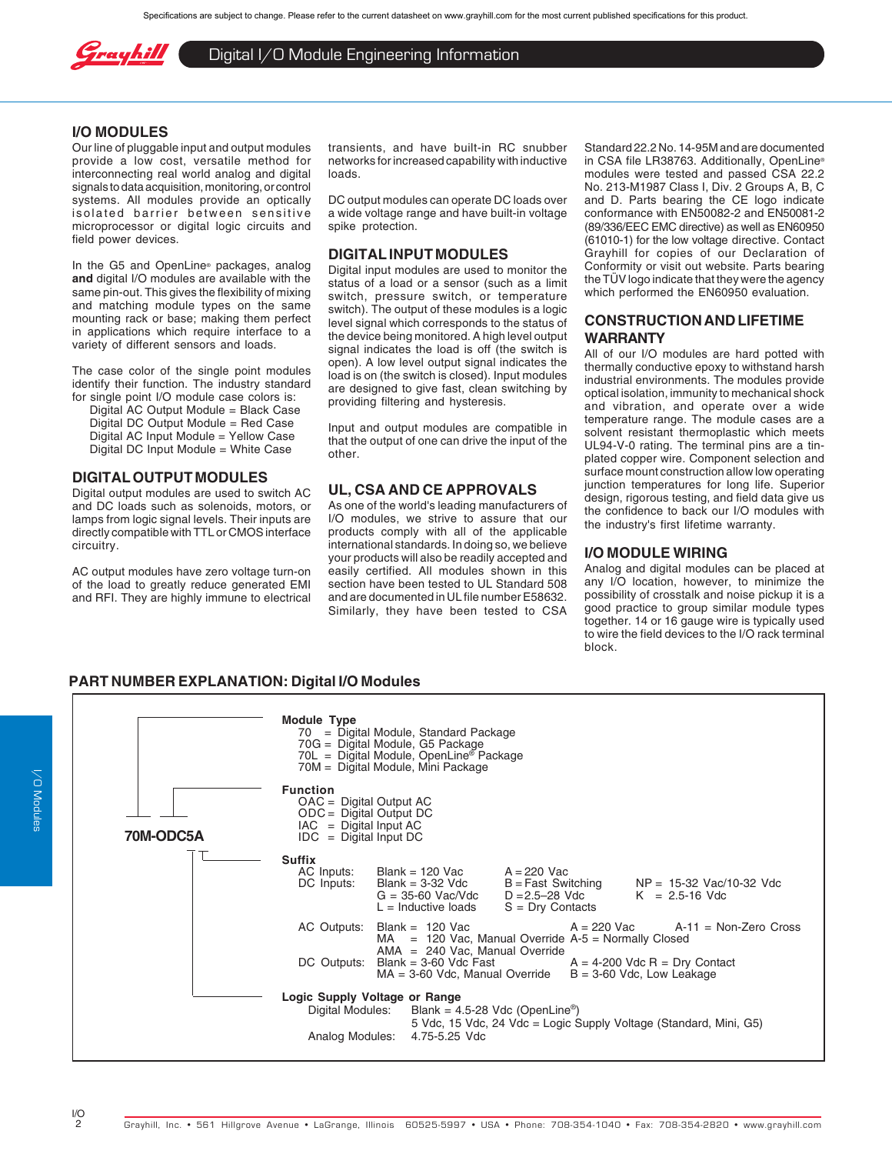

Digital I/O Module Engineering Information

#### **I/O MODULES**

Our line of pluggable input and output modules provide a low cost, versatile method for interconnecting real world analog and digital signals to data acquisition, monitoring, or control systems. All modules provide an optically isolated barrier between sensitive microprocessor or digital logic circuits and field power devices.

In the G5 and OpenLine® packages, analog **and** digital I/O modules are available with the same pin-out. This gives the flexibility of mixing and matching module types on the same mounting rack or base; making them perfect in applications which require interface to a variety of different sensors and loads.

The case color of the single point modules identify their function. The industry standard for single point I/O module case colors is:

Digital AC Output Module = Black Case Digital DC Output Module = Red Case Digital AC Input Module = Yellow Case Digital DC Input Module = White Case

#### **DIGITAL OUTPUT MODULES**

Digital output modules are used to switch AC and DC loads such as solenoids, motors, or lamps from logic signal levels. Their inputs are directly compatible with TTL or CMOS interface circuitry.

AC output modules have zero voltage turn-on of the load to greatly reduce generated EMI and RFI. They are highly immune to electrical transients, and have built-in RC snubber networks for increased capability with inductive loads.

DC output modules can operate DC loads over a wide voltage range and have built-in voltage spike protection.

#### **DIGITAL INPUT MODULES**

Digital input modules are used to monitor the status of a load or a sensor (such as a limit switch, pressure switch, or temperature switch). The output of these modules is a logic level signal which corresponds to the status of the device being monitored. A high level output signal indicates the load is off (the switch is open). A low level output signal indicates the load is on (the switch is closed). Input modules are designed to give fast, clean switching by providing filtering and hysteresis.

Input and output modules are compatible in that the output of one can drive the input of the other.

### **UL, CSA AND CE APPROVALS**

As one of the world's leading manufacturers of I/O modules, we strive to assure that our products comply with all of the applicable international standards. In doing so, we believe your products will also be readily accepted and easily certified. All modules shown in this section have been tested to UL Standard 508 and are documented in UL file number E58632. Similarly, they have been tested to CSA

Standard 22.2 No. 14-95M and are documented in CSA file LR38763. Additionally, OpenLine® modules were tested and passed CSA 22.2 No. 213-M1987 Class I, Div. 2 Groups A, B, C and D. Parts bearing the CE logo indicate conformance with EN50082-2 and EN50081-2 (89/336/EEC EMC directive) as well as EN60950 (61010-1) for the low voltage directive. Contact Grayhill for copies of our Declaration of Conformity or visit out website. Parts bearing the TÜV logo indicate that they were the agency which performed the EN60950 evaluation.

#### **CONSTRUCTION AND LIFETIME WARRANTY**

All of our I/O modules are hard potted with thermally conductive epoxy to withstand harsh industrial environments. The modules provide optical isolation, immunity to mechanical shock and vibration, and operate over a wide temperature range. The module cases are a solvent resistant thermoplastic which meets UL94-V-0 rating. The terminal pins are a tinplated copper wire. Component selection and surface mount construction allow low operating junction temperatures for long life. Superior design, rigorous testing, and field data give us the confidence to back our I/O modules with the industry's first lifetime warranty.

#### **I/O MODULE WIRING**

Analog and digital modules can be placed at any I/O location, however, to minimize the possibility of crosstalk and noise pickup it is a good practice to group similar module types together. 14 or 16 gauge wire is typically used to wire the field devices to the I/O rack terminal block.

#### **PART NUMBER EXPLANATION: Digital I/O Modules**

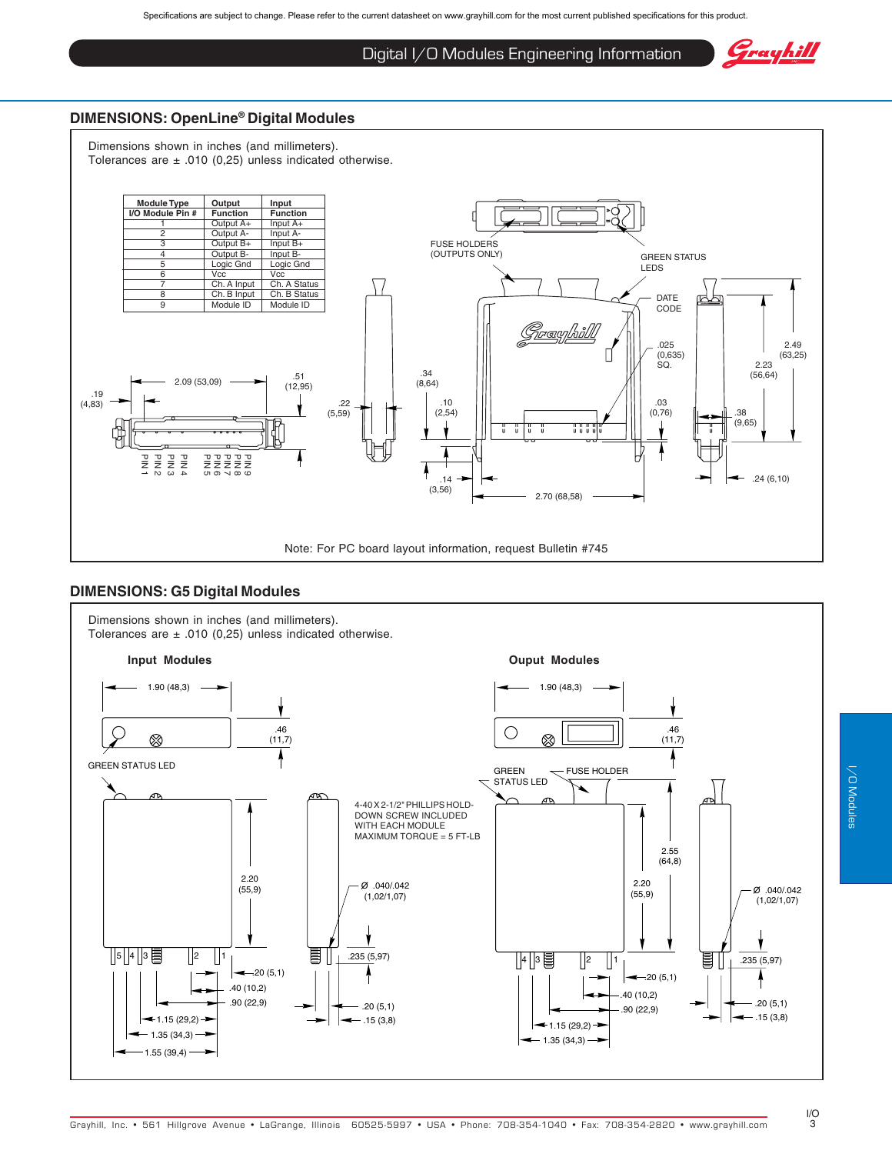## Digital I/O Modules Engineering Information

Grayhill

## **DIMENSIONS: OpenLine® Digital Modules**

Dimensions shown in inches (and millimeters). Tolerances are  $\pm$  .010 (0,25) unless indicated otherwise.



#### **DIMENSIONS: G5 Digital Modules**

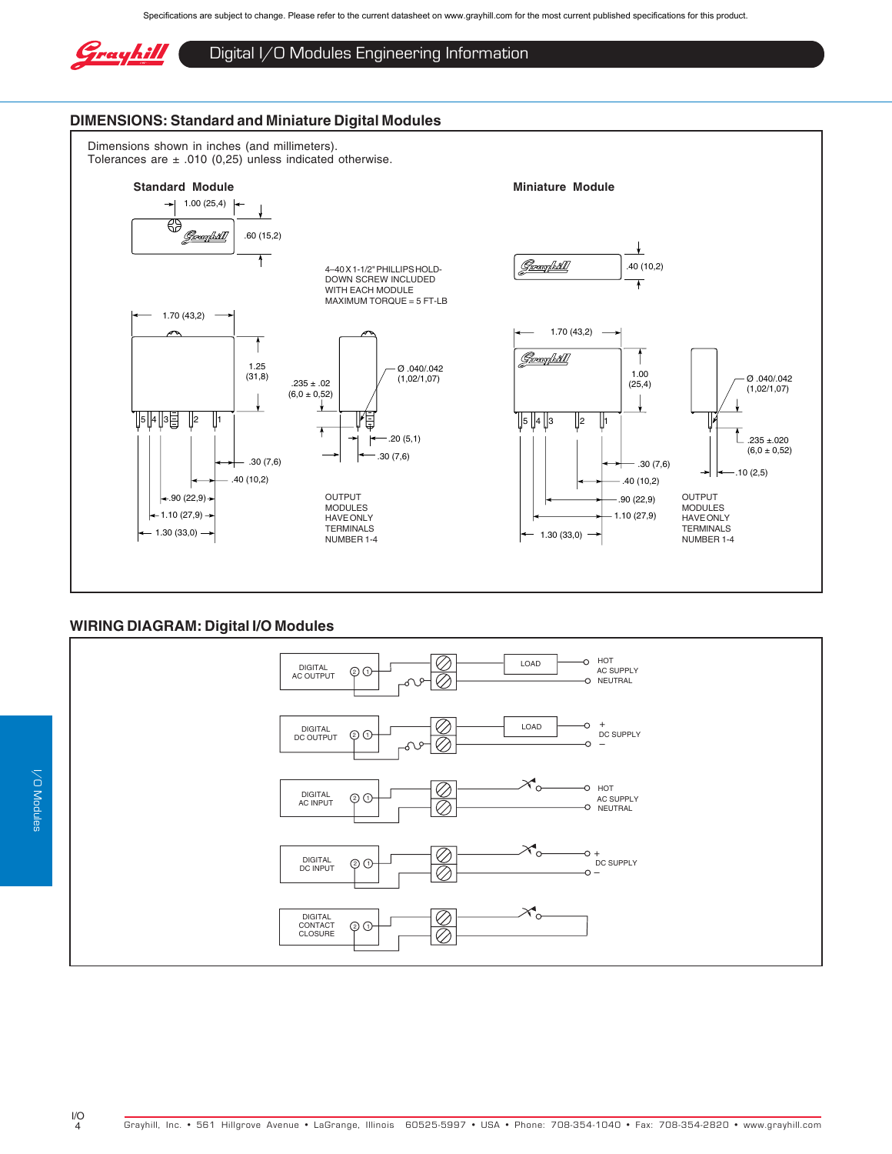

## Digital I/O Modules Engineering Information

#### **DIMENSIONS: Standard and Miniature Digital Modules**

Dimensions shown in inches (and millimeters). Tolerances are  $\pm$  .010 (0,25) unless indicated otherwise.



## **WIRING DIAGRAM: Digital I/O Modules**

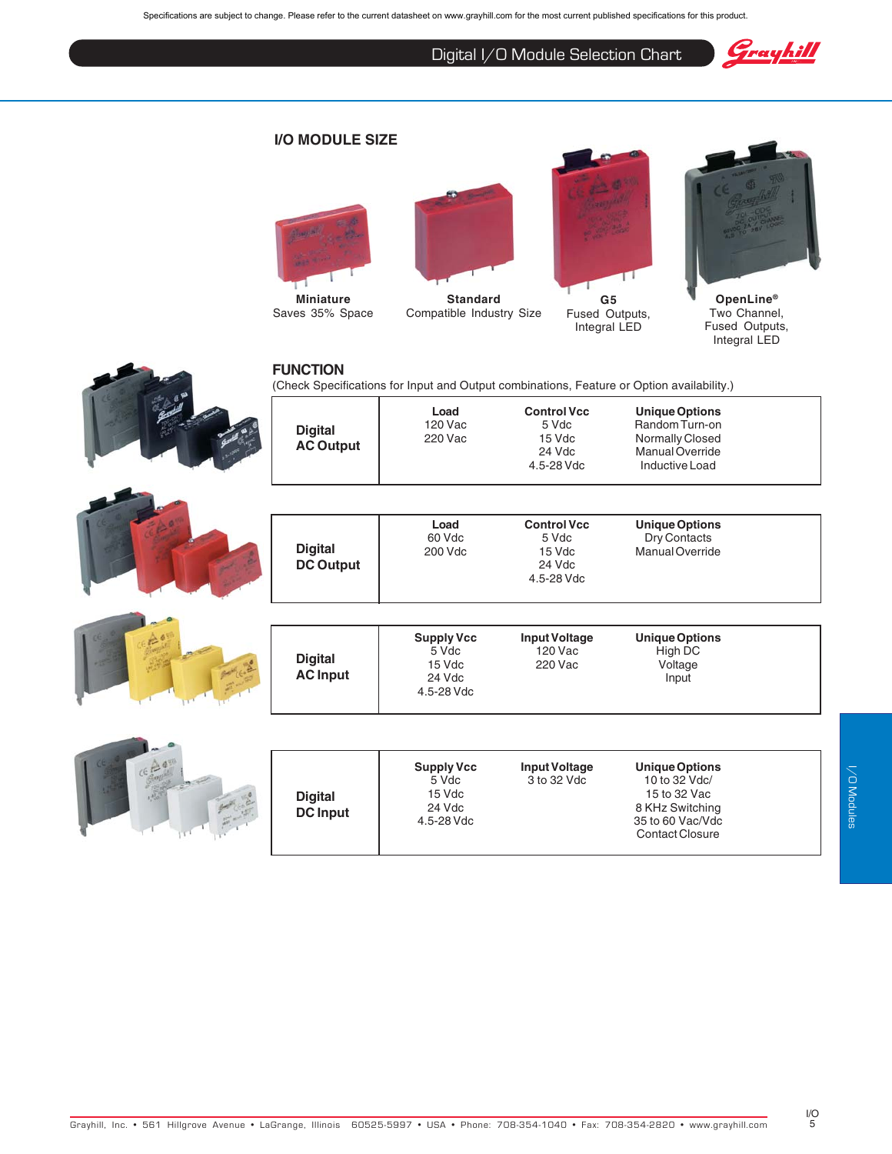Specifications are subject to change. Please refer to the current datasheet on www.grayhill.com for the most current published specifications for this product.

Digital I/O Module Selection Chart